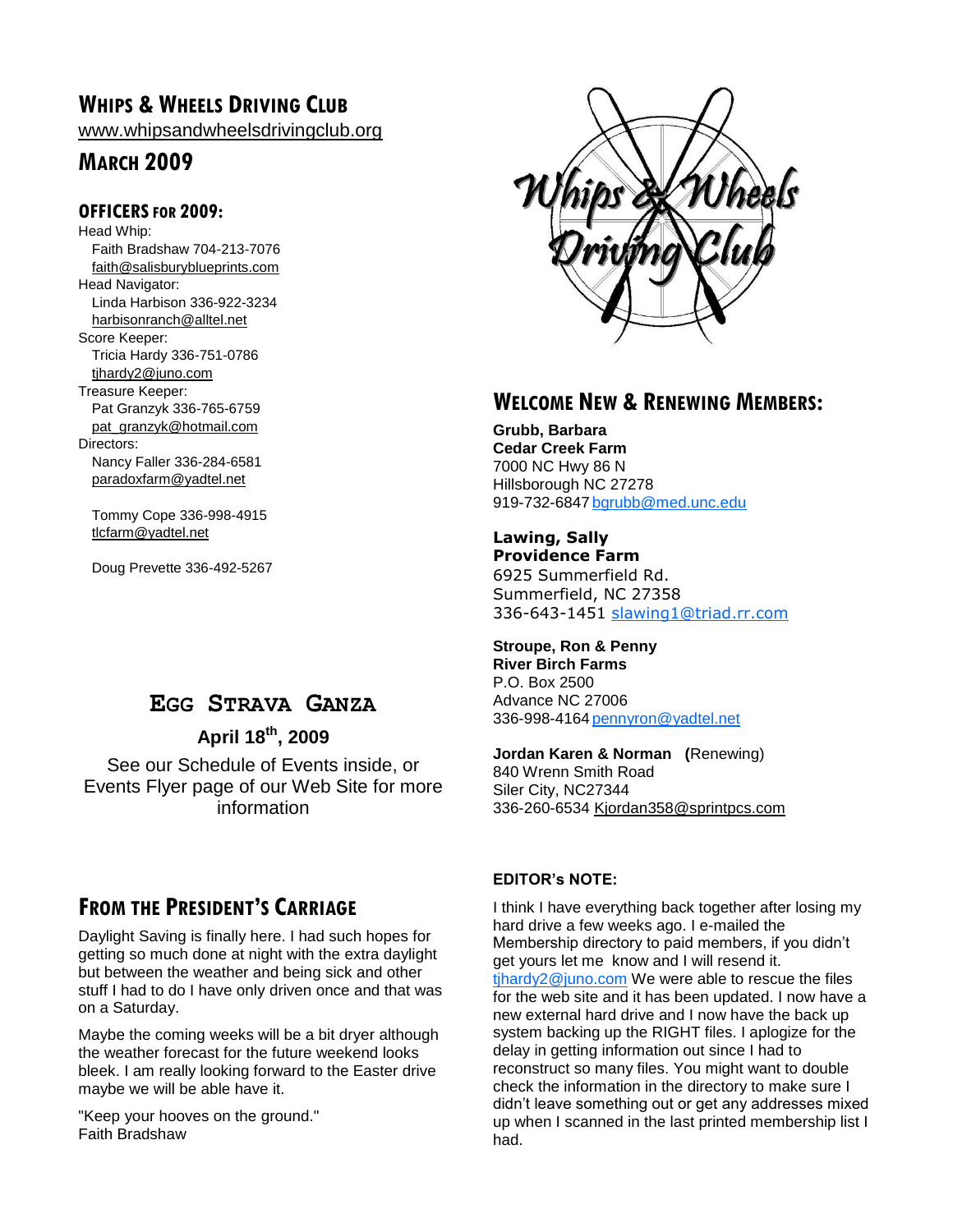#### **WHIPS & WHEELS DRIVING CLUB**

[www.whipsandwheelsdrivingclub.org](http://www.whipsandwheelsdrivingclub.org/)

### **MARCH 2009**

#### **OFFICERSFOR 2009:**

Head Whip: Faith Bradshaw 704-213-7076 [faith@salisburyblueprints.com](mailto:faith@salisburyblueprints.com) Head Navigator: Linda Harbison 336-922-3234 [harbisonranch@alltel.net](mailto:harbisonranch@alltel.net) Score Keeper: Tricia Hardy 336-751-0786 [tjhardy2@juno.com](mailto:tjhardy2@juno.com) Treasure Keeper: Pat Granzyk 336-765-6759 [pat\\_granzyk@hotmail.com](mailto:pat_granzyk@hotmail.com) Directors: Nancy Faller 336-284-6581 [paradoxfarm@yadtel.net](mailto:paradoxfarm@yadtel.net)

Tommy Cope 336-998-4915 [tlcfarm@yadtel.net](mailto:tlcfarm@yadtel.net)

Doug Prevette 336-492-5267

#### **EGG STRAVA GANZA**

**April 18th, 2009**

See our Schedule of Events inside, or Events Flyer page of our Web Site for more information

#### **FROM THE PRESIDENT'S CARRIAGE**

Daylight Saving is finally here. I had such hopes for getting so much done at night with the extra daylight but between the weather and being sick and other stuff I had to do I have only driven once and that was on a Saturday.

Maybe the coming weeks will be a bit dryer although the weather forecast for the future weekend looks bleek. I am really looking forward to the Easter drive maybe we will be able have it.

"Keep your hooves on the ground." Faith Bradshaw



#### **WELCOME NEW & RENEWING MEMBERS:**

**Grubb, Barbara Cedar Creek Farm** 7000 NC Hwy 86 N Hillsborough NC 27278 919-732-6847 [bgrubb@med.unc.edu](mailto:bgrubb@med.unc.edu)

**Lawing, Sally Providence Farm** 6925 Summerfield Rd. Summerfield, NC 27358 336-643-1451 [slawing1@triad.rr.com](mailto:slawing1@triad.rr.com)

**Stroupe, Ron & Penny River Birch Farms** P.O. Box 2500 Advance NC 27006 336-998-4164 [pennyron@yadtel.net](mailto:pennyron@yadtel.net)

**Jordan Karen & Norman (**Renewing) 840 Wrenn Smith Road Siler City, NC27344 336-260-6534 Kjordan358@sprintpcs.com

#### **EDITOR's NOTE:**

I think I have everything back together after losing my hard drive a few weeks ago. I e-mailed the Membership directory to paid members, if you didn't get yours let me know and I will resend it. [tjhardy2@juno.com](mailto:tjhardy2@juno.com) We were able to rescue the files for the web site and it has been updated. I now have a new external hard drive and I now have the back up system backing up the RIGHT files. I aplogize for the delay in getting information out since I had to reconstruct so many files. You might want to double check the information in the directory to make sure I didn't leave something out or get any addresses mixed up when I scanned in the last printed membership list I had.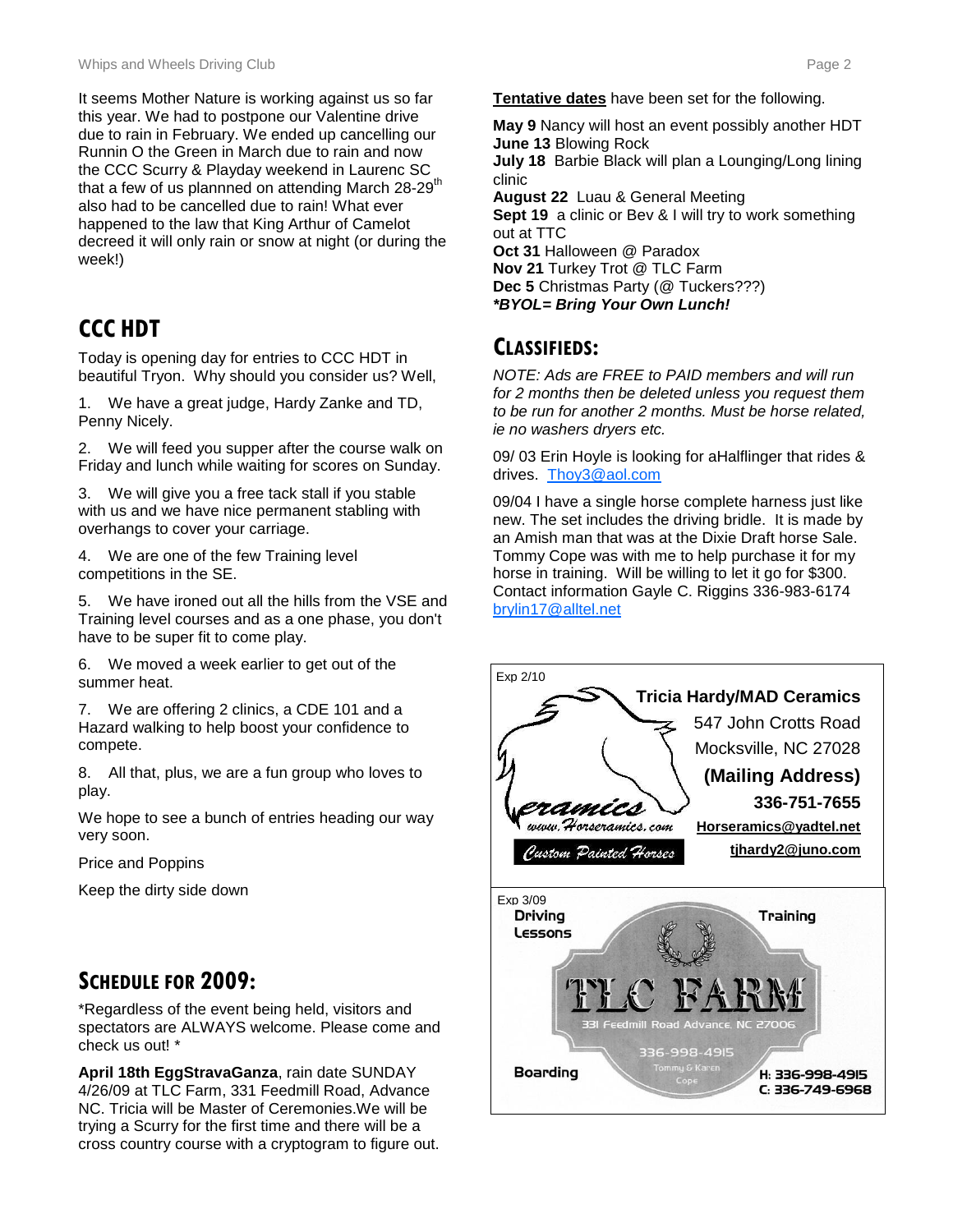It seems Mother Nature is working against us so far this year. We had to postpone our Valentine drive due to rain in February. We ended up cancelling our Runnin O the Green in March due to rain and now the CCC Scurry & Playday weekend in Laurenc SC that a few of us plannned on attending March 28-29<sup>th</sup> also had to be cancelled due to rain! What ever happened to the law that King Arthur of Camelot decreed it will only rain or snow at night (or during the week!)

## **CCC HDT**

Today is opening day for entries to CCC HDT in beautiful Tryon. Why should you consider us? Well,

1. We have a great judge, Hardy Zanke and TD, Penny Nicely.

2. We will feed you supper after the course walk on Friday and lunch while waiting for scores on Sunday.

3. We will give you a free tack stall if you stable with us and we have nice permanent stabling with overhangs to cover your carriage.

4. We are one of the few Training level competitions in the SE.

5. We have ironed out all the hills from the VSE and Training level courses and as a one phase, you don't have to be super fit to come play.

6. We moved a week earlier to get out of the summer heat.

7. We are offering 2 clinics, a CDE 101 and a Hazard walking to help boost your confidence to compete.

8. All that, plus, we are a fun group who loves to play.

We hope to see a bunch of entries heading our way very soon.

Price and Poppins

Keep the dirty side down

#### **SCHEDULE FOR 2009:**

\*Regardless of the event being held, visitors and spectators are ALWAYS welcome. Please come and check us out! \*

**April 18th EggStravaGanza**, rain date SUNDAY 4/26/09 at TLC Farm, 331 Feedmill Road, Advance NC. Tricia will be Master of Ceremonies.We will be trying a Scurry for the first time and there will be a cross country course with a cryptogram to figure out. **Tentative dates** have been set for the following.

**May 9** Nancy will host an event possibly another HDT **June 13** Blowing Rock

**July 18** Barbie Black will plan a Lounging/Long lining clinic

**August 22** Luau & General Meeting

**Sept 19** a clinic or Bev & I will try to work something out at TTC

**Oct 31** Halloween @ Paradox

**Nov 21** Turkey Trot @ TLC Farm **Dec 5** Christmas Party (@ Tuckers???) *\*BYOL= Bring Your Own Lunch!* 

### **CLASSIFIEDS:**

*NOTE: Ads are FREE to PAID members and will run for 2 months then be deleted unless you request them to be run for another 2 months. Must be horse related, ie no washers dryers etc.*

09/ 03 Erin Hoyle is looking for aHalflinger that rides & drives. [Thoy3@aol.com](mailto:Thoy3@aol.com)

09/04 I have a single horse complete harness just like new. The set includes the driving bridle. It is made by an Amish man that was at the Dixie Draft horse Sale. Tommy Cope was with me to help purchase it for my horse in training. Will be willing to let it go for \$300. Contact information Gayle C. Riggins 336-983-6174 [brylin17@alltel.net](mailto:brylin17@alltel.net)

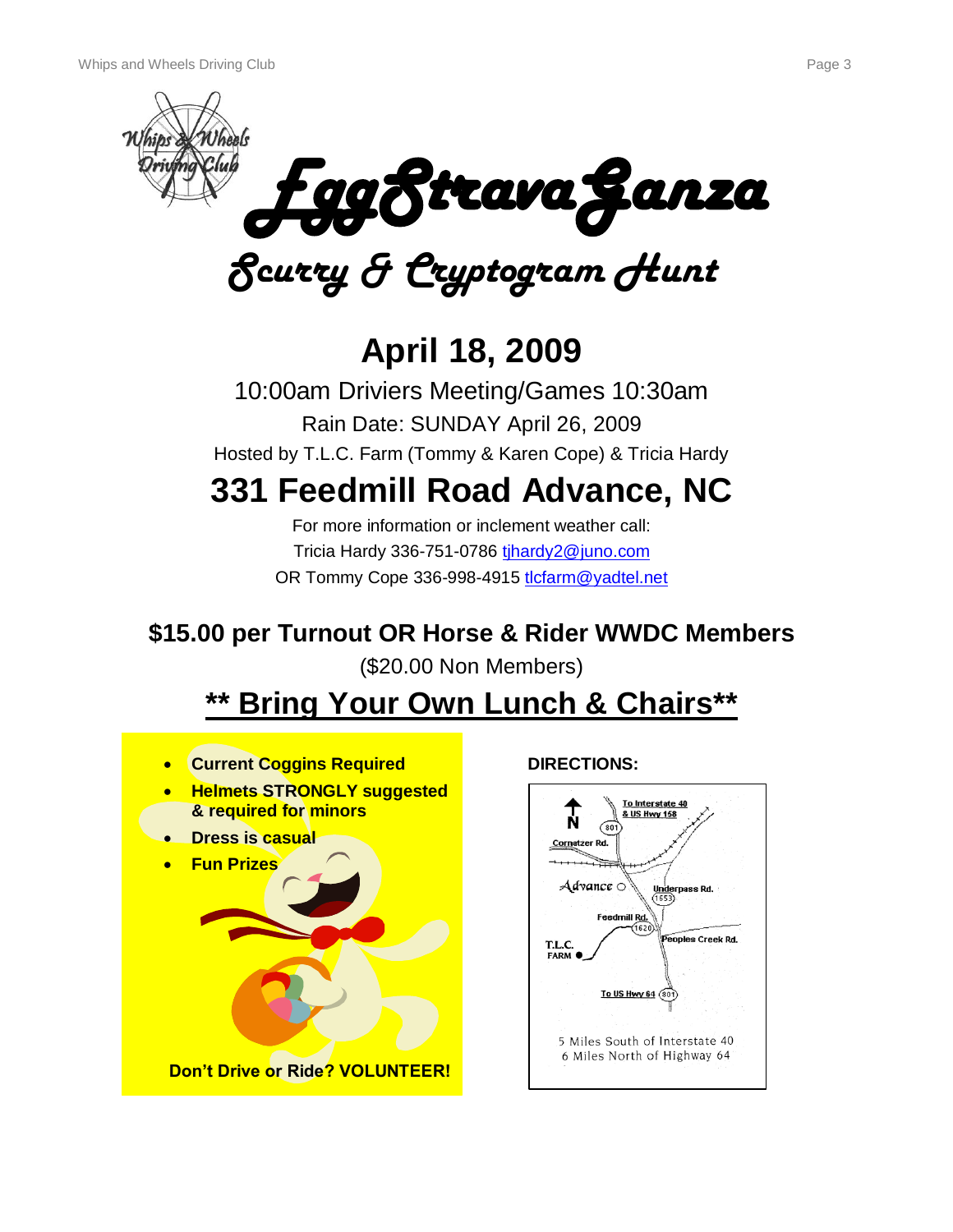

# **April 18, 2009**

10:00am Driviers Meeting/Games 10:30am Rain Date: SUNDAY April 26, 2009 Hosted by T.L.C. Farm (Tommy & Karen Cope) & Tricia Hardy

# **331 Feedmill Road Advance, NC**

For more information or inclement weather call: Tricia Hardy 336-751-0786 tjhardy2@juno.com OR Tommy Cope 336-998-4915 tlcfarm@yadtel.net

## **\$15.00 per Turnout OR Horse & Rider WWDC Members**

(\$20.00 Non Members)

# **Bring Your Own Lunch & Chairs\*\***

- **•** Current Coggins Required **DIRECTIONS:**
- **Helmets STRONGLY suggested & required for minors**
- **Dress is casual**
- **Fun Prizes**